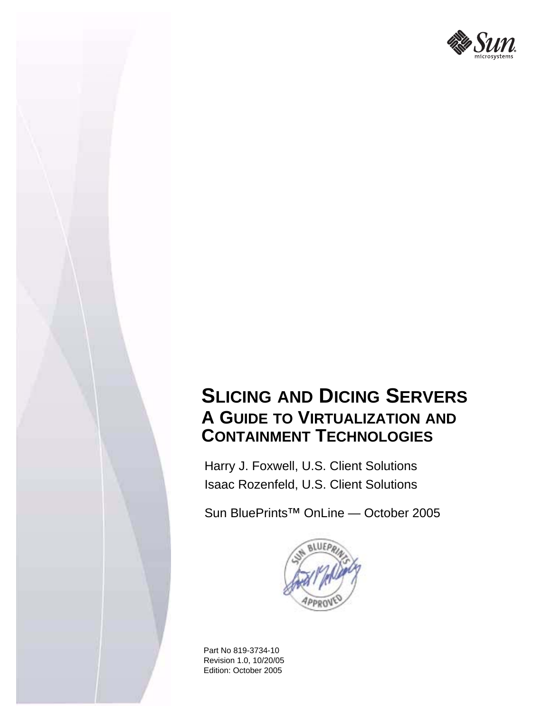

# **SLICING AND DICING SERVERS A GUIDE TO VIRTUALIZATION AND CONTAINMENT TECHNOLOGIES**

Harry J. Foxwell, U.S. Client Solutions Isaac Rozenfeld, U.S. Client Solutions

Sun BluePrints™ OnLine — October 2005



Part No 819-3734-10 Revision 1.0, 10/20/05 Edition: October 2005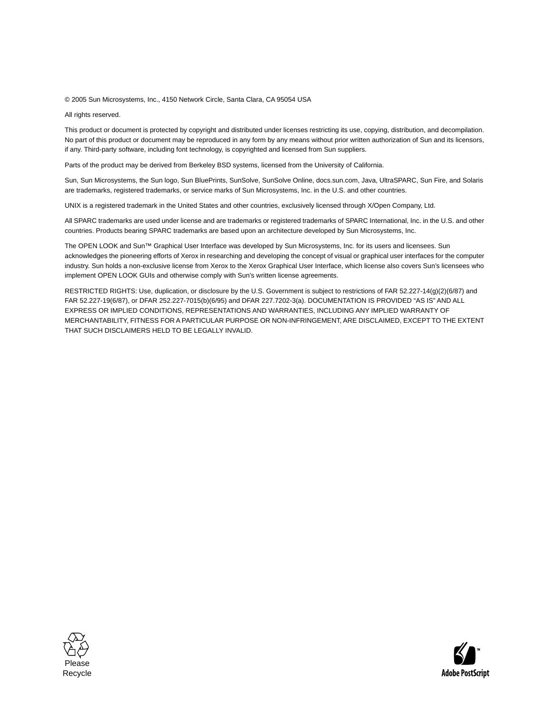© 2005 Sun Microsystems, Inc., 4150 Network Circle, Santa Clara, CA 95054 USA

#### All rights reserved.

This product or document is protected by copyright and distributed under licenses restricting its use, copying, distribution, and decompilation. No part of this product or document may be reproduced in any form by any means without prior written authorization of Sun and its licensors, if any. Third-party software, including font technology, is copyrighted and licensed from Sun suppliers.

Parts of the product may be derived from Berkeley BSD systems, licensed from the University of California.

Sun, Sun Microsystems, the Sun logo, Sun BluePrints, SunSolve, SunSolve Online, docs.sun.com, Java, UltraSPARC, Sun Fire, and Solaris are trademarks, registered trademarks, or service marks of Sun Microsystems, Inc. in the U.S. and other countries.

UNIX is a registered trademark in the United States and other countries, exclusively licensed through X/Open Company, Ltd.

All SPARC trademarks are used under license and are trademarks or registered trademarks of SPARC International, Inc. in the U.S. and other countries. Products bearing SPARC trademarks are based upon an architecture developed by Sun Microsystems, Inc.

The OPEN LOOK and Sun™ Graphical User Interface was developed by Sun Microsystems, Inc. for its users and licensees. Sun acknowledges the pioneering efforts of Xerox in researching and developing the concept of visual or graphical user interfaces for the computer industry. Sun holds a non-exclusive license from Xerox to the Xerox Graphical User Interface, which license also covers Sun's licensees who implement OPEN LOOK GUIs and otherwise comply with Sun's written license agreements.

RESTRICTED RIGHTS: Use, duplication, or disclosure by the U.S. Government is subject to restrictions of FAR 52.227-14(g)(2)(6/87) and FAR 52.227-19(6/87), or DFAR 252.227-7015(b)(6/95) and DFAR 227.7202-3(a). DOCUMENTATION IS PROVIDED "AS IS" AND ALL EXPRESS OR IMPLIED CONDITIONS, REPRESENTATIONS AND WARRANTIES, INCLUDING ANY IMPLIED WARRANTY OF MERCHANTABILITY, FITNESS FOR A PARTICULAR PURPOSE OR NON-INFRINGEMENT, ARE DISCLAIMED, EXCEPT TO THE EXTENT THAT SUCH DISCLAIMERS HELD TO BE LEGALLY INVALID.



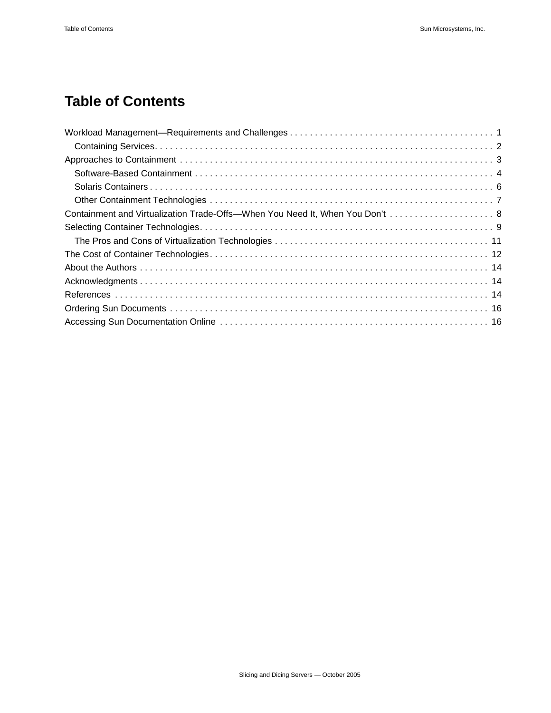## **Table of Contents**

| Containment and Virtualization Trade-Offs-When You Need It, When You Don't  8 |  |
|-------------------------------------------------------------------------------|--|
|                                                                               |  |
|                                                                               |  |
|                                                                               |  |
|                                                                               |  |
|                                                                               |  |
|                                                                               |  |
|                                                                               |  |
|                                                                               |  |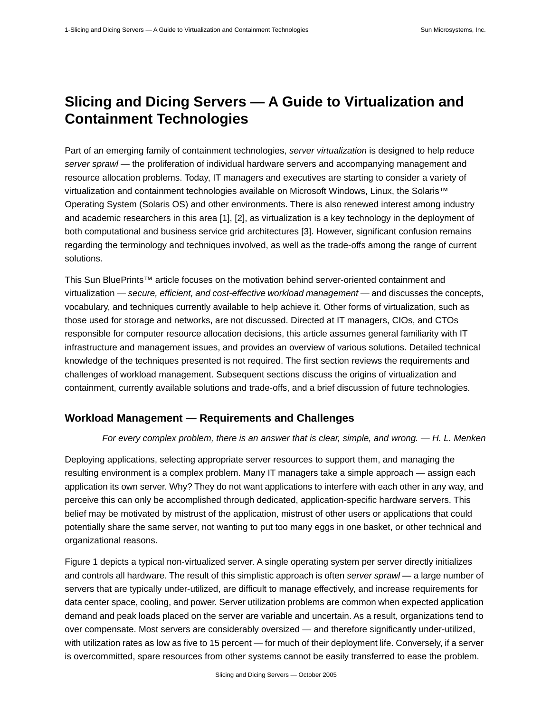## **Slicing and Dicing Servers — A Guide to Virtualization and Containment Technologies**

Part of an emerging family of containment technologies, *server virtualization* is designed to help reduce *server sprawl* — the proliferation of individual hardware servers and accompanying management and resource allocation problems. Today, IT managers and executives are starting to consider a variety of virtualization and containment technologies available on Microsoft Windows, Linux, the Solaris™ Operating System (Solaris OS) and other environments. There is also renewed interest among industry and academic researchers in this area [1], [2], as virtualization is a key technology in the deployment of both computational and business service grid architectures [3]. However, significant confusion remains regarding the terminology and techniques involved, as well as the trade-offs among the range of current solutions.

This Sun BluePrints™ article focuses on the motivation behind server-oriented containment and virtualization — *secure, efficient, and cost-effective workload management* — and discusses the concepts, vocabulary, and techniques currently available to help achieve it. Other forms of virtualization, such as those used for storage and networks, are not discussed. Directed at IT managers, CIOs, and CTOs responsible for computer resource allocation decisions, this article assumes general familiarity with IT infrastructure and management issues, and provides an overview of various solutions. Detailed technical knowledge of the techniques presented is not required. The first section reviews the requirements and challenges of workload management. Subsequent sections discuss the origins of virtualization and containment, currently available solutions and trade-offs, and a brief discussion of future technologies.

## **Workload Management — Requirements and Challenges**

### *For every complex problem, there is an answer that is clear, simple, and wrong. — H. L. Menken*

Deploying applications, selecting appropriate server resources to support them, and managing the resulting environment is a complex problem. Many IT managers take a simple approach — assign each application its own server. Why? They do not want applications to interfere with each other in any way, and perceive this can only be accomplished through dedicated, application-specific hardware servers. This belief may be motivated by mistrust of the application, mistrust of other users or applications that could potentially share the same server, not wanting to put too many eggs in one basket, or other technical and organizational reasons.

Figure 1 depicts a typical non-virtualized server. A single operating system per server directly initializes and controls all hardware. The result of this simplistic approach is often *server sprawl* — a large number of servers that are typically under-utilized, are difficult to manage effectively, and increase requirements for data center space, cooling, and power. Server utilization problems are common when expected application demand and peak loads placed on the server are variable and uncertain. As a result, organizations tend to over compensate. Most servers are considerably oversized — and therefore significantly under-utilized, with utilization rates as low as five to 15 percent — for much of their deployment life. Conversely, if a server is overcommitted, spare resources from other systems cannot be easily transferred to ease the problem.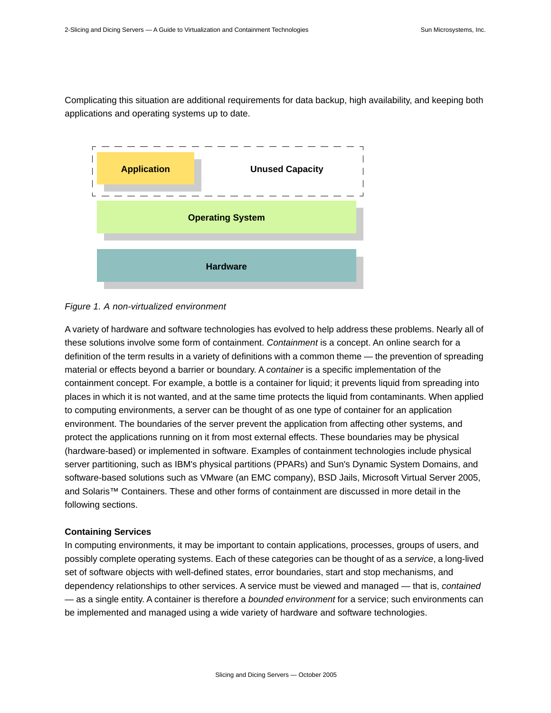Complicating this situation are additional requirements for data backup, high availability, and keeping both applications and operating systems up to date.





A variety of hardware and software technologies has evolved to help address these problems. Nearly all of these solutions involve some form of containment. *Containment* is a concept. An online search for a definition of the term results in a variety of definitions with a common theme — the prevention of spreading material or effects beyond a barrier or boundary. A *container* is a specific implementation of the containment concept. For example, a bottle is a container for liquid; it prevents liquid from spreading into places in which it is not wanted, and at the same time protects the liquid from contaminants. When applied to computing environments, a server can be thought of as one type of container for an application environment. The boundaries of the server prevent the application from affecting other systems, and protect the applications running on it from most external effects. These boundaries may be physical (hardware-based) or implemented in software. Examples of containment technologies include physical server partitioning, such as IBM's physical partitions (PPARs) and Sun's Dynamic System Domains, and software-based solutions such as VMware (an EMC company), BSD Jails, Microsoft Virtual Server 2005, and Solaris™ Containers. These and other forms of containment are discussed in more detail in the following sections.

#### **Containing Services**

In computing environments, it may be important to contain applications, processes, groups of users, and possibly complete operating systems. Each of these categories can be thought of as a *service*, a long-lived set of software objects with well-defined states, error boundaries, start and stop mechanisms, and dependency relationships to other services. A service must be viewed and managed — that is, *contained* — as a single entity. A container is therefore a *bounded environment* for a service; such environments can be implemented and managed using a wide variety of hardware and software technologies.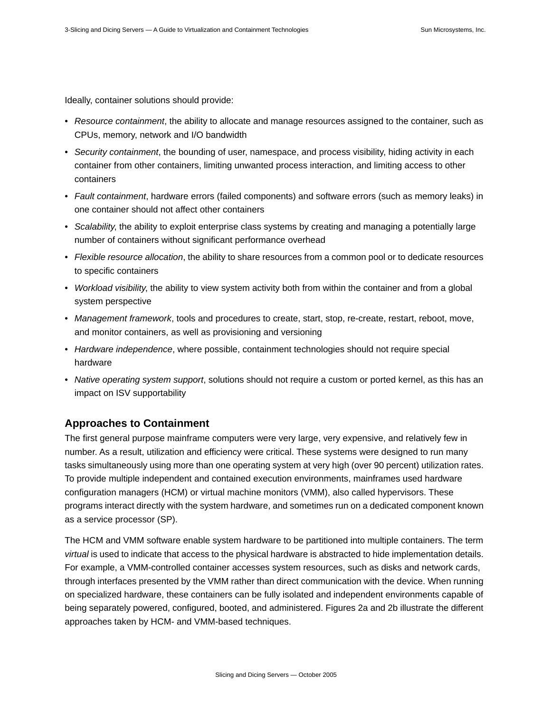Ideally, container solutions should provide:

- *Resource containment*, the ability to allocate and manage resources assigned to the container, such as CPUs, memory, network and I/O bandwidth
- *Security containment*, the bounding of user, namespace, and process visibility, hiding activity in each container from other containers, limiting unwanted process interaction, and limiting access to other containers
- *Fault containment*, hardware errors (failed components) and software errors (such as memory leaks) in one container should not affect other containers
- *Scalability*, the ability to exploit enterprise class systems by creating and managing a potentially large number of containers without significant performance overhead
- *Flexible resource allocation*, the ability to share resources from a common pool or to dedicate resources to specific containers
- *Workload visibility*, the ability to view system activity both from within the container and from a global system perspective
- *Management framework*, tools and procedures to create, start, stop, re-create, restart, reboot, move, and monitor containers, as well as provisioning and versioning
- *Hardware independence*, where possible, containment technologies should not require special hardware
- *Native operating system support*, solutions should not require a custom or ported kernel, as this has an impact on ISV supportability

## **Approaches to Containment**

The first general purpose mainframe computers were very large, very expensive, and relatively few in number. As a result, utilization and efficiency were critical. These systems were designed to run many tasks simultaneously using more than one operating system at very high (over 90 percent) utilization rates. To provide multiple independent and contained execution environments, mainframes used hardware configuration managers (HCM) or virtual machine monitors (VMM), also called hypervisors. These programs interact directly with the system hardware, and sometimes run on a dedicated component known as a service processor (SP).

The HCM and VMM software enable system hardware to be partitioned into multiple containers. The term *virtual* is used to indicate that access to the physical hardware is abstracted to hide implementation details. For example, a VMM-controlled container accesses system resources, such as disks and network cards, through interfaces presented by the VMM rather than direct communication with the device. When running on specialized hardware, these containers can be fully isolated and independent environments capable of being separately powered, configured, booted, and administered. Figures 2a and 2b illustrate the different approaches taken by HCM- and VMM-based techniques.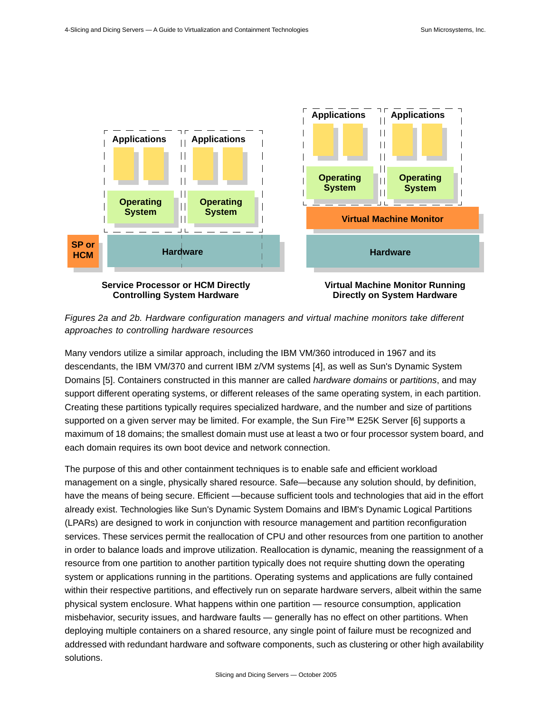

*Figures 2a and 2b. Hardware configuration managers and virtual machine monitors take different approaches to controlling hardware resources*

Many vendors utilize a similar approach, including the IBM VM/360 introduced in 1967 and its descendants, the IBM VM/370 and current IBM z/VM systems [4], as well as Sun's Dynamic System Domains [5]. Containers constructed in this manner are called *hardware domains* or *partitions*, and may support different operating systems, or different releases of the same operating system, in each partition. Creating these partitions typically requires specialized hardware, and the number and size of partitions supported on a given server may be limited. For example, the Sun Fire™ E25K Server [6] supports a maximum of 18 domains; the smallest domain must use at least a two or four processor system board, and each domain requires its own boot device and network connection.

The purpose of this and other containment techniques is to enable safe and efficient workload management on a single, physically shared resource. Safe—because any solution should, by definition, have the means of being secure. Efficient —because sufficient tools and technologies that aid in the effort already exist. Technologies like Sun's Dynamic System Domains and IBM's Dynamic Logical Partitions (LPARs) are designed to work in conjunction with resource management and partition reconfiguration services. These services permit the reallocation of CPU and other resources from one partition to another in order to balance loads and improve utilization. Reallocation is dynamic, meaning the reassignment of a resource from one partition to another partition typically does not require shutting down the operating system or applications running in the partitions. Operating systems and applications are fully contained within their respective partitions, and effectively run on separate hardware servers, albeit within the same physical system enclosure. What happens within one partition — resource consumption, application misbehavior, security issues, and hardware faults — generally has no effect on other partitions. When deploying multiple containers on a shared resource, any single point of failure must be recognized and addressed with redundant hardware and software components, such as clustering or other high availability solutions.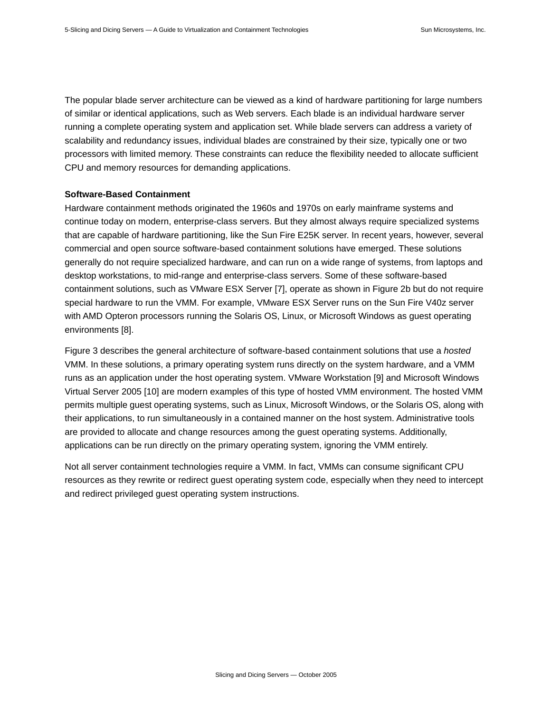The popular blade server architecture can be viewed as a kind of hardware partitioning for large numbers of similar or identical applications, such as Web servers. Each blade is an individual hardware server running a complete operating system and application set. While blade servers can address a variety of scalability and redundancy issues, individual blades are constrained by their size, typically one or two processors with limited memory. These constraints can reduce the flexibility needed to allocate sufficient CPU and memory resources for demanding applications.

#### **Software-Based Containment**

Hardware containment methods originated the 1960s and 1970s on early mainframe systems and continue today on modern, enterprise-class servers. But they almost always require specialized systems that are capable of hardware partitioning, like the Sun Fire E25K server. In recent years, however, several commercial and open source software-based containment solutions have emerged. These solutions generally do not require specialized hardware, and can run on a wide range of systems, from laptops and desktop workstations, to mid-range and enterprise-class servers. Some of these software-based containment solutions, such as VMware ESX Server [7], operate as shown in Figure 2b but do not require special hardware to run the VMM. For example, VMware ESX Server runs on the Sun Fire V40z server with AMD Opteron processors running the Solaris OS, Linux, or Microsoft Windows as guest operating environments [8].

Figure 3 describes the general architecture of software-based containment solutions that use a *hosted* VMM. In these solutions, a primary operating system runs directly on the system hardware, and a VMM runs as an application under the host operating system. VMware Workstation [9] and Microsoft Windows Virtual Server 2005 [10] are modern examples of this type of hosted VMM environment. The hosted VMM permits multiple guest operating systems, such as Linux, Microsoft Windows, or the Solaris OS, along with their applications, to run simultaneously in a contained manner on the host system. Administrative tools are provided to allocate and change resources among the guest operating systems. Additionally, applications can be run directly on the primary operating system, ignoring the VMM entirely.

Not all server containment technologies require a VMM. In fact, VMMs can consume significant CPU resources as they rewrite or redirect guest operating system code, especially when they need to intercept and redirect privileged guest operating system instructions.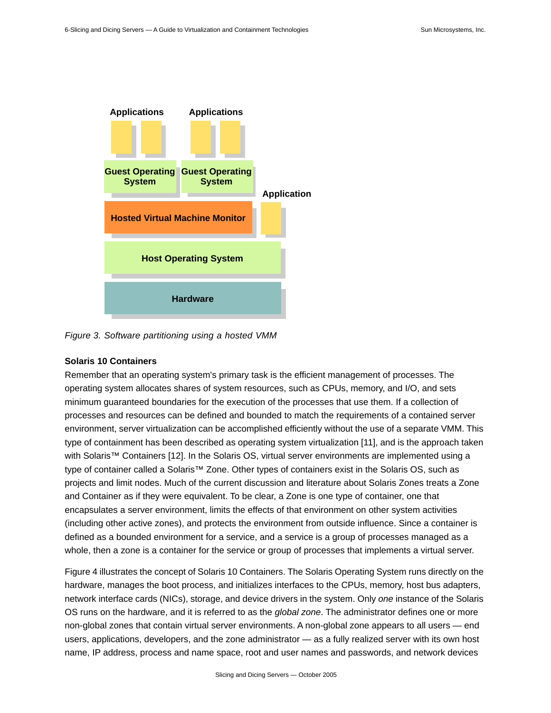

*Figure 3. Software partitioning using a hosted VMM*

#### **Solaris 10 Containers**

Remember that an operating system's primary task is the efficient management of processes. The operating system allocates shares of system resources, such as CPUs, memory, and I/O, and sets minimum guaranteed boundaries for the execution of the processes that use them. If a collection of processes and resources can be defined and bounded to match the requirements of a contained server environment, server virtualization can be accomplished efficiently without the use of a separate VMM. This type of containment has been described as operating system virtualization [11], and is the approach taken with Solaris™ Containers [12]. In the Solaris OS, virtual server environments are implemented using a type of container called a Solaris™ Zone. Other types of containers exist in the Solaris OS, such as projects and limit nodes. Much of the current discussion and literature about Solaris Zones treats a Zone and Container as if they were equivalent. To be clear, a Zone is one type of container, one that encapsulates a server environment, limits the effects of that environment on other system activities (including other active zones), and protects the environment from outside influence. Since a container is defined as a bounded environment for a service, and a service is a group of processes managed as a whole, then a zone is a container for the service or group of processes that implements a virtual server.

Figure 4 illustrates the concept of Solaris 10 Containers. The Solaris Operating System runs directly on the hardware, manages the boot process, and initializes interfaces to the CPUs, memory, host bus adapters, network interface cards (NICs), storage, and device drivers in the system. Only *one* instance of the Solaris OS runs on the hardware, and it is referred to as the *global zone*. The administrator defines one or more non-global zones that contain virtual server environments. A non-global zone appears to all users — end users, applications, developers, and the zone administrator — as a fully realized server with its own host name, IP address, process and name space, root and user names and passwords, and network devices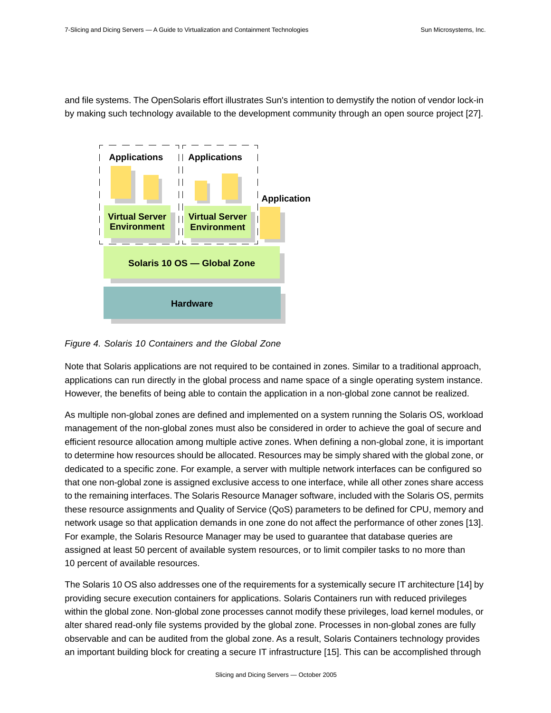and file systems. The OpenSolaris effort illustrates Sun's intention to demystify the notion of vendor lock-in by making such technology available to the development community through an open source project [27].



*Figure 4. Solaris 10 Containers and the Global Zone*

Note that Solaris applications are not required to be contained in zones. Similar to a traditional approach, applications can run directly in the global process and name space of a single operating system instance. However, the benefits of being able to contain the application in a non-global zone cannot be realized.

As multiple non-global zones are defined and implemented on a system running the Solaris OS, workload management of the non-global zones must also be considered in order to achieve the goal of secure and efficient resource allocation among multiple active zones. When defining a non-global zone, it is important to determine how resources should be allocated. Resources may be simply shared with the global zone, or dedicated to a specific zone. For example, a server with multiple network interfaces can be configured so that one non-global zone is assigned exclusive access to one interface, while all other zones share access to the remaining interfaces. The Solaris Resource Manager software, included with the Solaris OS, permits these resource assignments and Quality of Service (QoS) parameters to be defined for CPU, memory and network usage so that application demands in one zone do not affect the performance of other zones [13]. For example, the Solaris Resource Manager may be used to guarantee that database queries are assigned at least 50 percent of available system resources, or to limit compiler tasks to no more than 10 percent of available resources.

The Solaris 10 OS also addresses one of the requirements for a systemically secure IT architecture [14] by providing secure execution containers for applications. Solaris Containers run with reduced privileges within the global zone. Non-global zone processes cannot modify these privileges, load kernel modules, or alter shared read-only file systems provided by the global zone. Processes in non-global zones are fully observable and can be audited from the global zone. As a result, Solaris Containers technology provides an important building block for creating a secure IT infrastructure [15]. This can be accomplished through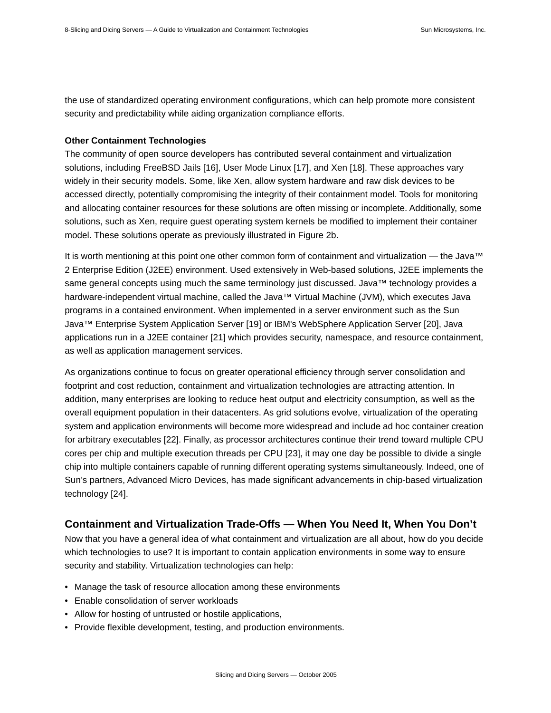the use of standardized operating environment configurations, which can help promote more consistent security and predictability while aiding organization compliance efforts.

#### **Other Containment Technologies**

The community of open source developers has contributed several containment and virtualization solutions, including FreeBSD Jails [16], User Mode Linux [17], and Xen [18]. These approaches vary widely in their security models. Some, like Xen, allow system hardware and raw disk devices to be accessed directly, potentially compromising the integrity of their containment model. Tools for monitoring and allocating container resources for these solutions are often missing or incomplete. Additionally, some solutions, such as Xen, require guest operating system kernels be modified to implement their container model. These solutions operate as previously illustrated in Figure 2b.

It is worth mentioning at this point one other common form of containment and virtualization — the Java™ 2 Enterprise Edition (J2EE) environment. Used extensively in Web-based solutions, J2EE implements the same general concepts using much the same terminology just discussed. Java™ technology provides a hardware-independent virtual machine, called the Java™ Virtual Machine (JVM), which executes Java programs in a contained environment. When implemented in a server environment such as the Sun Java™ Enterprise System Application Server [19] or IBM's WebSphere Application Server [20], Java applications run in a J2EE container [21] which provides security, namespace, and resource containment, as well as application management services.

As organizations continue to focus on greater operational efficiency through server consolidation and footprint and cost reduction, containment and virtualization technologies are attracting attention. In addition, many enterprises are looking to reduce heat output and electricity consumption, as well as the overall equipment population in their datacenters. As grid solutions evolve, virtualization of the operating system and application environments will become more widespread and include ad hoc container creation for arbitrary executables [22]. Finally, as processor architectures continue their trend toward multiple CPU cores per chip and multiple execution threads per CPU [23], it may one day be possible to divide a single chip into multiple containers capable of running different operating systems simultaneously. Indeed, one of Sun's partners, Advanced Micro Devices, has made significant advancements in chip-based virtualization technology [24].

## **Containment and Virtualization Trade-Offs — When You Need It, When You Don't**

Now that you have a general idea of what containment and virtualization are all about, how do you decide which technologies to use? It is important to contain application environments in some way to ensure security and stability. Virtualization technologies can help:

- Manage the task of resource allocation among these environments
- Enable consolidation of server workloads
- Allow for hosting of untrusted or hostile applications,
- Provide flexible development, testing, and production environments.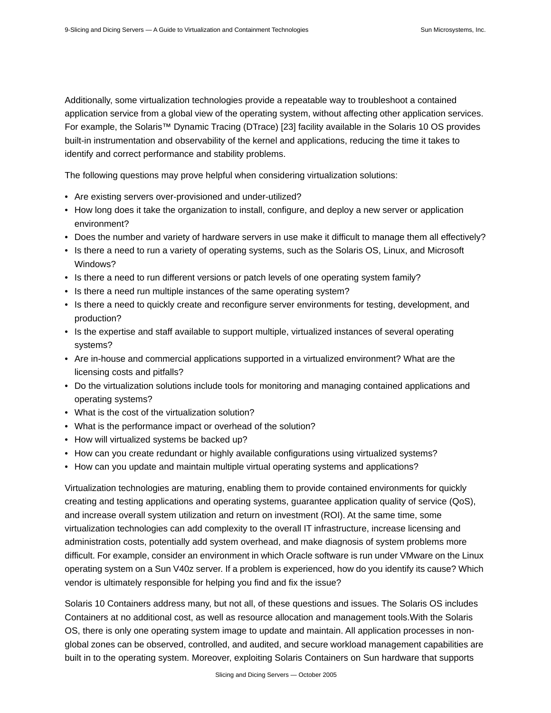Additionally, some virtualization technologies provide a repeatable way to troubleshoot a contained application service from a global view of the operating system, without affecting other application services. For example, the Solaris™ Dynamic Tracing (DTrace) [23] facility available in the Solaris 10 OS provides built-in instrumentation and observability of the kernel and applications, reducing the time it takes to identify and correct performance and stability problems.

The following questions may prove helpful when considering virtualization solutions:

- Are existing servers over-provisioned and under-utilized?
- How long does it take the organization to install, configure, and deploy a new server or application environment?
- Does the number and variety of hardware servers in use make it difficult to manage them all effectively?
- Is there a need to run a variety of operating systems, such as the Solaris OS, Linux, and Microsoft Windows?
- Is there a need to run different versions or patch levels of one operating system family?
- Is there a need run multiple instances of the same operating system?
- Is there a need to quickly create and reconfigure server environments for testing, development, and production?
- Is the expertise and staff available to support multiple, virtualized instances of several operating systems?
- Are in-house and commercial applications supported in a virtualized environment? What are the licensing costs and pitfalls?
- Do the virtualization solutions include tools for monitoring and managing contained applications and operating systems?
- What is the cost of the virtualization solution?
- What is the performance impact or overhead of the solution?
- How will virtualized systems be backed up?
- How can you create redundant or highly available configurations using virtualized systems?
- How can you update and maintain multiple virtual operating systems and applications?

Virtualization technologies are maturing, enabling them to provide contained environments for quickly creating and testing applications and operating systems, guarantee application quality of service (QoS), and increase overall system utilization and return on investment (ROI). At the same time, some virtualization technologies can add complexity to the overall IT infrastructure, increase licensing and administration costs, potentially add system overhead, and make diagnosis of system problems more difficult. For example, consider an environment in which Oracle software is run under VMware on the Linux operating system on a Sun V40z server. If a problem is experienced, how do you identify its cause? Which vendor is ultimately responsible for helping you find and fix the issue?

Solaris 10 Containers address many, but not all, of these questions and issues. The Solaris OS includes Containers at no additional cost, as well as resource allocation and management tools.With the Solaris OS, there is only one operating system image to update and maintain. All application processes in nonglobal zones can be observed, controlled, and audited, and secure workload management capabilities are built in to the operating system. Moreover, exploiting Solaris Containers on Sun hardware that supports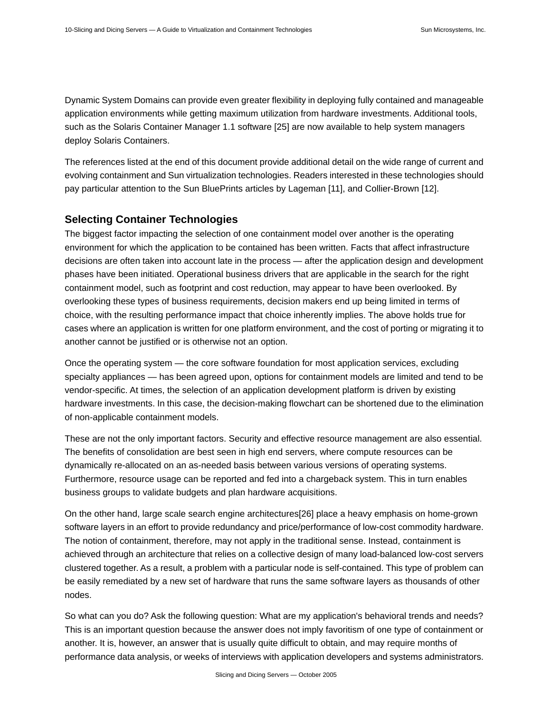Dynamic System Domains can provide even greater flexibility in deploying fully contained and manageable application environments while getting maximum utilization from hardware investments. Additional tools, such as the Solaris Container Manager 1.1 software [25] are now available to help system managers deploy Solaris Containers.

The references listed at the end of this document provide additional detail on the wide range of current and evolving containment and Sun virtualization technologies. Readers interested in these technologies should pay particular attention to the Sun BluePrints articles by Lageman [11], and Collier-Brown [12].

## **Selecting Container Technologies**

The biggest factor impacting the selection of one containment model over another is the operating environment for which the application to be contained has been written. Facts that affect infrastructure decisions are often taken into account late in the process — after the application design and development phases have been initiated. Operational business drivers that are applicable in the search for the right containment model, such as footprint and cost reduction, may appear to have been overlooked. By overlooking these types of business requirements, decision makers end up being limited in terms of choice, with the resulting performance impact that choice inherently implies. The above holds true for cases where an application is written for one platform environment, and the cost of porting or migrating it to another cannot be justified or is otherwise not an option.

Once the operating system — the core software foundation for most application services, excluding specialty appliances — has been agreed upon, options for containment models are limited and tend to be vendor-specific. At times, the selection of an application development platform is driven by existing hardware investments. In this case, the decision-making flowchart can be shortened due to the elimination of non-applicable containment models.

These are not the only important factors. Security and effective resource management are also essential. The benefits of consolidation are best seen in high end servers, where compute resources can be dynamically re-allocated on an as-needed basis between various versions of operating systems. Furthermore, resource usage can be reported and fed into a chargeback system. This in turn enables business groups to validate budgets and plan hardware acquisitions.

On the other hand, large scale search engine architectures[26] place a heavy emphasis on home-grown software layers in an effort to provide redundancy and price/performance of low-cost commodity hardware. The notion of containment, therefore, may not apply in the traditional sense. Instead, containment is achieved through an architecture that relies on a collective design of many load-balanced low-cost servers clustered together. As a result, a problem with a particular node is self-contained. This type of problem can be easily remediated by a new set of hardware that runs the same software layers as thousands of other nodes.

So what can you do? Ask the following question: What are my application's behavioral trends and needs? This is an important question because the answer does not imply favoritism of one type of containment or another. It is, however, an answer that is usually quite difficult to obtain, and may require months of performance data analysis, or weeks of interviews with application developers and systems administrators.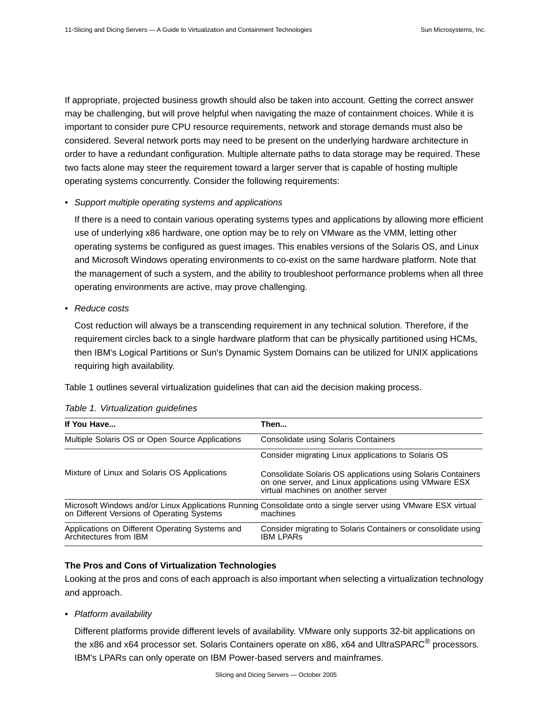If appropriate, projected business growth should also be taken into account. Getting the correct answer may be challenging, but will prove helpful when navigating the maze of containment choices. While it is important to consider pure CPU resource requirements, network and storage demands must also be considered. Several network ports may need to be present on the underlying hardware architecture in order to have a redundant configuration. Multiple alternate paths to data storage may be required. These two facts alone may steer the requirement toward a larger server that is capable of hosting multiple operating systems concurrently. Consider the following requirements:

*• Support multiple operating systems and applications*

If there is a need to contain various operating systems types and applications by allowing more efficient use of underlying x86 hardware, one option may be to rely on VMware as the VMM, letting other operating systems be configured as guest images. This enables versions of the Solaris OS, and Linux and Microsoft Windows operating environments to co-exist on the same hardware platform. Note that the management of such a system, and the ability to troubleshoot performance problems when all three operating environments are active, may prove challenging.

*• Reduce costs*

Cost reduction will always be a transcending requirement in any technical solution. Therefore, if the requirement circles back to a single hardware platform that can be physically partitioned using HCMs, then IBM's Logical Partitions or Sun's Dynamic System Domains can be utilized for UNIX applications requiring high availability.

Table 1 outlines several virtualization guidelines that can aid the decision making process.

| If You Have                                                               | Then                                                                                                                                                         |
|---------------------------------------------------------------------------|--------------------------------------------------------------------------------------------------------------------------------------------------------------|
| Multiple Solaris OS or Open Source Applications                           | Consolidate using Solaris Containers                                                                                                                         |
|                                                                           | Consider migrating Linux applications to Solaris OS                                                                                                          |
| Mixture of Linux and Solaris OS Applications                              | Consolidate Solaris OS applications using Solaris Containers<br>on one server, and Linux applications using VMware ESX<br>virtual machines on another server |
| on Different Versions of Operating Systems                                | Microsoft Windows and/or Linux Applications Running Consolidate onto a single server using VMware ESX virtual<br>machines                                    |
| Applications on Different Operating Systems and<br>Architectures from IBM | Consider migrating to Solaris Containers or consolidate using<br><b>IBM LPARs</b>                                                                            |

### **The Pros and Cons of Virtualization Technologies**

Looking at the pros and cons of each approach is also important when selecting a virtualization technology and approach.

*• Platform availability*

Different platforms provide different levels of availability. VMware only supports 32-bit applications on the x86 and x64 processor set. Solaris Containers operate on x86, x64 and UltraSPARC<sup>®</sup> processors. IBM's LPARs can only operate on IBM Power-based servers and mainframes.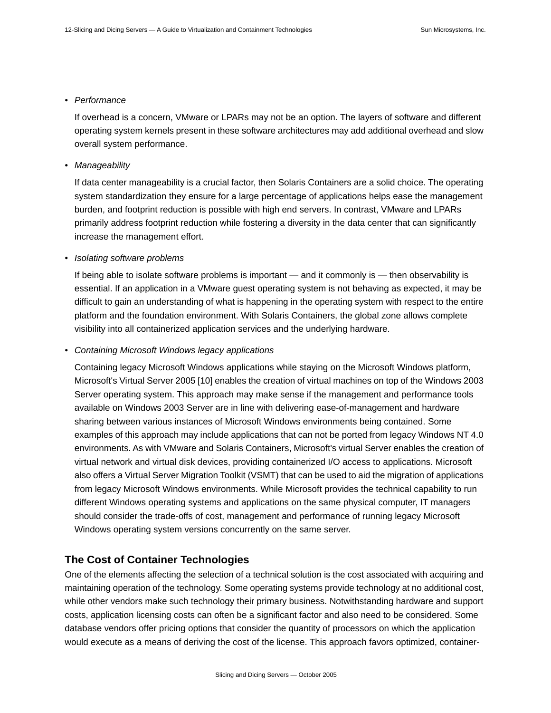#### *• Performance*

If overhead is a concern, VMware or LPARs may not be an option. The layers of software and different operating system kernels present in these software architectures may add additional overhead and slow overall system performance.

#### *• Manageability*

If data center manageability is a crucial factor, then Solaris Containers are a solid choice. The operating system standardization they ensure for a large percentage of applications helps ease the management burden, and footprint reduction is possible with high end servers. In contrast, VMware and LPARs primarily address footprint reduction while fostering a diversity in the data center that can significantly increase the management effort.

### *• Isolating software problems*

If being able to isolate software problems is important — and it commonly is — then observability is essential. If an application in a VMware guest operating system is not behaving as expected, it may be difficult to gain an understanding of what is happening in the operating system with respect to the entire platform and the foundation environment. With Solaris Containers, the global zone allows complete visibility into all containerized application services and the underlying hardware.

*• Containing Microsoft Windows legacy applications*

Containing legacy Microsoft Windows applications while staying on the Microsoft Windows platform, Microsoft's Virtual Server 2005 [10] enables the creation of virtual machines on top of the Windows 2003 Server operating system. This approach may make sense if the management and performance tools available on Windows 2003 Server are in line with delivering ease-of-management and hardware sharing between various instances of Microsoft Windows environments being contained. Some examples of this approach may include applications that can not be ported from legacy Windows NT 4.0 environments. As with VMware and Solaris Containers, Microsoft's virtual Server enables the creation of virtual network and virtual disk devices, providing containerized I/O access to applications. Microsoft also offers a Virtual Server Migration Toolkit (VSMT) that can be used to aid the migration of applications from legacy Microsoft Windows environments. While Microsoft provides the technical capability to run different Windows operating systems and applications on the same physical computer, IT managers should consider the trade-offs of cost, management and performance of running legacy Microsoft Windows operating system versions concurrently on the same server.

## **The Cost of Container Technologies**

One of the elements affecting the selection of a technical solution is the cost associated with acquiring and maintaining operation of the technology. Some operating systems provide technology at no additional cost, while other vendors make such technology their primary business. Notwithstanding hardware and support costs, application licensing costs can often be a significant factor and also need to be considered. Some database vendors offer pricing options that consider the quantity of processors on which the application would execute as a means of deriving the cost of the license. This approach favors optimized, container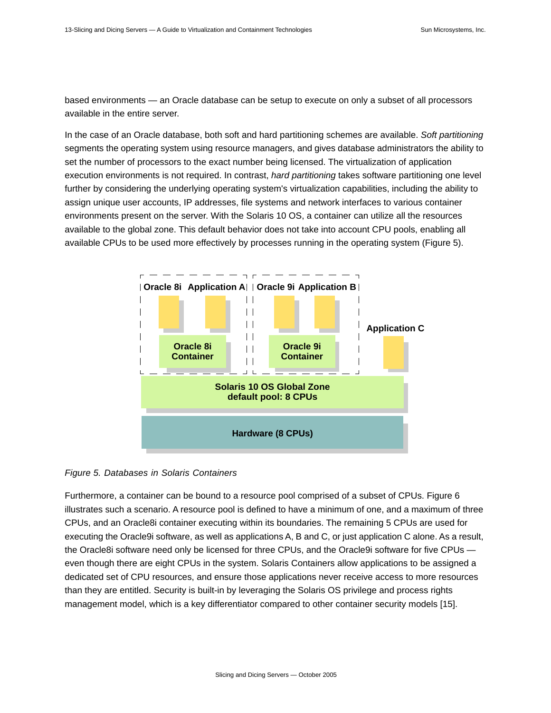based environments — an Oracle database can be setup to execute on only a subset of all processors available in the entire server.

In the case of an Oracle database, both soft and hard partitioning schemes are available. *Soft partitioning* segments the operating system using resource managers, and gives database administrators the ability to set the number of processors to the exact number being licensed. The virtualization of application execution environments is not required. In contrast, *hard partitioning* takes software partitioning one level further by considering the underlying operating system's virtualization capabilities, including the ability to assign unique user accounts, IP addresses, file systems and network interfaces to various container environments present on the server. With the Solaris 10 OS, a container can utilize all the resources available to the global zone. This default behavior does not take into account CPU pools, enabling all available CPUs to be used more effectively by processes running in the operating system (Figure 5).



### *Figure 5. Databases in Solaris Containers*

Furthermore, a container can be bound to a resource pool comprised of a subset of CPUs. Figure 6 illustrates such a scenario. A resource pool is defined to have a minimum of one, and a maximum of three CPUs, and an Oracle8i container executing within its boundaries. The remaining 5 CPUs are used for executing the Oracle9i software, as well as applications A, B and C, or just application C alone. As a result, the Oracle8i software need only be licensed for three CPUs, and the Oracle9i software for five CPUs even though there are eight CPUs in the system. Solaris Containers allow applications to be assigned a dedicated set of CPU resources, and ensure those applications never receive access to more resources than they are entitled. Security is built-in by leveraging the Solaris OS privilege and process rights management model, which is a key differentiator compared to other container security models [15].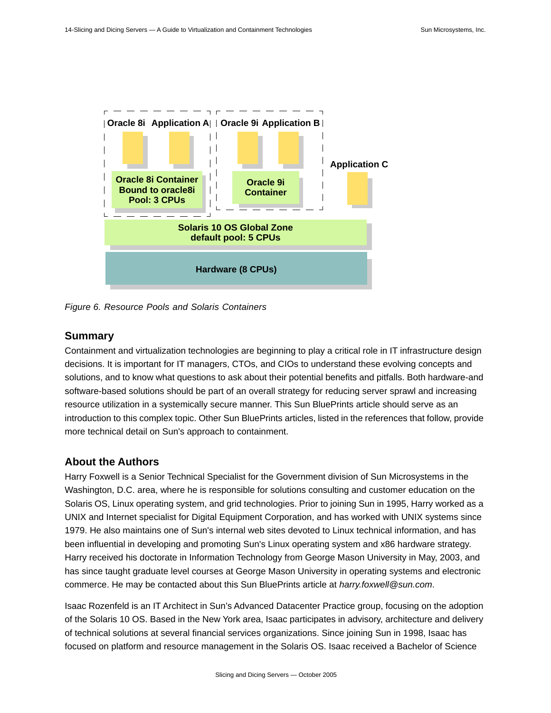

*Figure 6. Resource Pools and Solaris Containers*

## **Summary**

Containment and virtualization technologies are beginning to play a critical role in IT infrastructure design decisions. It is important for IT managers, CTOs, and CIOs to understand these evolving concepts and solutions, and to know what questions to ask about their potential benefits and pitfalls. Both hardware-and software-based solutions should be part of an overall strategy for reducing server sprawl and increasing resource utilization in a systemically secure manner. This Sun BluePrints article should serve as an introduction to this complex topic. Other Sun BluePrints articles, listed in the references that follow, provide more technical detail on Sun's approach to containment.

## **About the Authors**

Harry Foxwell is a Senior Technical Specialist for the Government division of Sun Microsystems in the Washington, D.C. area, where he is responsible for solutions consulting and customer education on the Solaris OS, Linux operating system, and grid technologies. Prior to joining Sun in 1995, Harry worked as a UNIX and Internet specialist for Digital Equipment Corporation, and has worked with UNIX systems since 1979. He also maintains one of Sun's internal web sites devoted to Linux technical information, and has been influential in developing and promoting Sun's Linux operating system and x86 hardware strategy. Harry received his doctorate in Information Technology from George Mason University in May, 2003, and has since taught graduate level courses at George Mason University in operating systems and electronic commerce. He may be contacted about this Sun BluePrints article at *harry.foxwell@sun.com*.

Isaac Rozenfeld is an IT Architect in Sun's Advanced Datacenter Practice group, focusing on the adoption of the Solaris 10 OS. Based in the New York area, Isaac participates in advisory, architecture and delivery of technical solutions at several financial services organizations. Since joining Sun in 1998, Isaac has focused on platform and resource management in the Solaris OS. Isaac received a Bachelor of Science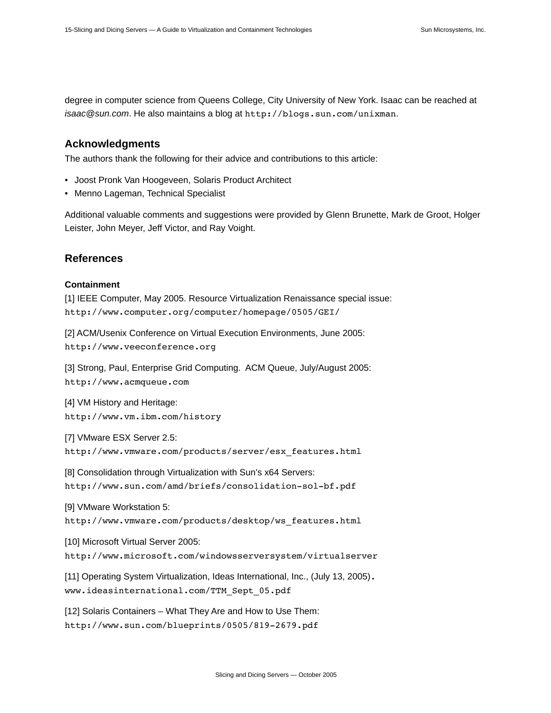degree in computer science from Queens College, City University of New York. Isaac can be reached at *isaac@sun.com*. He also maintains a blog at http://blogs.sun.com/unixman.

## **Acknowledgments**

The authors thank the following for their advice and contributions to this article:

- Joost Pronk Van Hoogeveen, Solaris Product Architect
- Menno Lageman, Technical Specialist

Additional valuable comments and suggestions were provided by Glenn Brunette, Mark de Groot, Holger Leister, John Meyer, Jeff Victor, and Ray Voight.

## **References**

#### **Containment**

[1] IEEE Computer, May 2005. Resource Virtualization Renaissance special issue: http://www.computer.org/computer/homepage/0505/GEI/

[2] ACM/Usenix Conference on Virtual Execution Environments, June 2005: http://www.veeconference.org

[3] Strong, Paul, Enterprise Grid Computing. ACM Queue, July/August 2005: http://www.acmqueue.com

[4] VM History and Heritage: http://www.vm.ibm.com/history

[7] VMware ESX Server 2.5: http://www.vmware.com/products/server/esx\_features.html

[8] Consolidation through Virtualization with Sun's x64 Servers: http://www.sun.com/amd/briefs/consolidation-sol-bf.pdf

[9] VMware Workstation 5: http://www.vmware.com/products/desktop/ws\_features.html

[10] Microsoft Virtual Server 2005: http://www.microsoft.com/windowsserversystem/virtualserver

[11] Operating System Virtualization, Ideas International, Inc., (July 13, 2005). www.ideasinternational.com/TTM\_Sept\_05.pdf

[12] Solaris Containers – What They Are and How to Use Them: http://www.sun.com/blueprints/0505/819-2679.pdf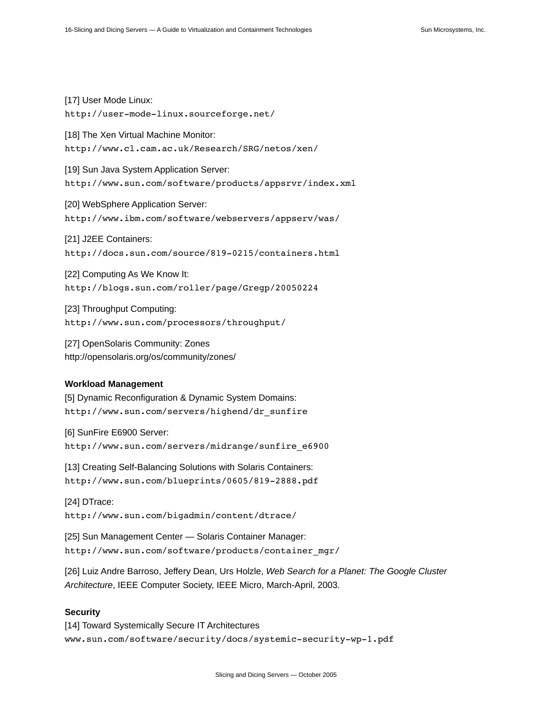[17] User Mode Linux: http://user-mode-linux.sourceforge.net/

[18] The Xen Virtual Machine Monitor: http://www.cl.cam.ac.uk/Research/SRG/netos/xen/

[19] Sun Java System Application Server: http://www.sun.com/software/products/appsrvr/index.xml

[20] WebSphere Application Server: http://www.ibm.com/software/webservers/appserv/was/

[21] J2EE Containers: http://docs.sun.com/source/819-0215/containers.html

[22] Computing As We Know It: http://blogs.sun.com/roller/page/Gregp/20050224

[23] Throughput Computing: http://www.sun.com/processors/throughput/

[27] OpenSolaris Community: Zones http://opensolaris.org/os/community/zones/

#### **Workload Management**

[5] Dynamic Reconfiguration & Dynamic System Domains: http://www.sun.com/servers/highend/dr\_sunfire

[6] SunFire E6900 Server: http://www.sun.com/servers/midrange/sunfire\_e6900

[13] Creating Self-Balancing Solutions with Solaris Containers: http://www.sun.com/blueprints/0605/819-2888.pdf

[24] DTrace: http://www.sun.com/bigadmin/content/dtrace/

[25] Sun Management Center — Solaris Container Manager: http://www.sun.com/software/products/container\_mgr/

[26] Luiz Andre Barroso, Jeffery Dean, Urs Holzle, *Web Search for a Planet: The Google Cluster Architecture*, IEEE Computer Society, IEEE Micro, March-April, 2003.

#### **Security**

[14] Toward Systemically Secure IT Architectures www.sun.com/software/security/docs/systemic-security-wp-1.pdf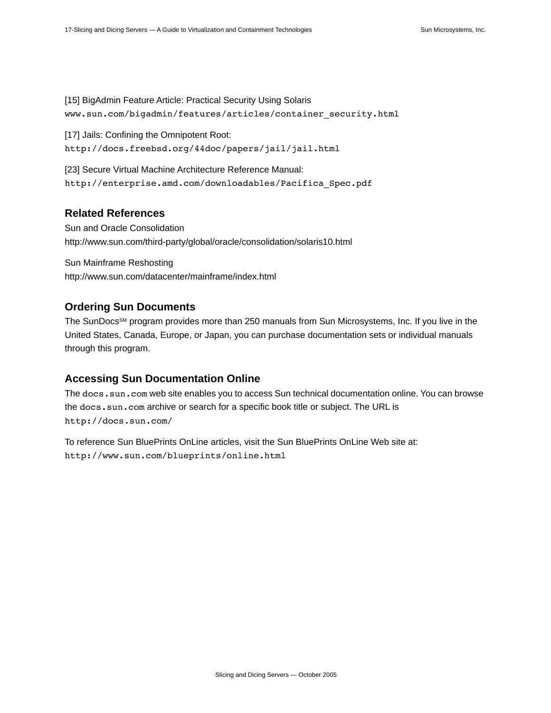[15] BigAdmin Feature Article: Practical Security Using Solaris www.sun.com/bigadmin/features/articles/container\_security.html

[17] Jails: Confining the Omnipotent Root: http://docs.freebsd.org/44doc/papers/jail/jail.html

[23] Secure Virtual Machine Architecture Reference Manual: http://enterprise.amd.com/downloadables/Pacifica\_Spec.pdf

## **Related References**

Sun and Oracle Consolidation http://www.sun.com/third-party/global/oracle/consolidation/solaris10.html

Sun Mainframe Reshosting http://www.sun.com/datacenter/mainframe/index.html

## **Ordering Sun Documents**

The SunDocs<sup>SM</sup> program provides more than 250 manuals from Sun Microsystems, Inc. If you live in the United States, Canada, Europe, or Japan, you can purchase documentation sets or individual manuals through this program.

## **Accessing Sun Documentation Online**

The docs.sun.com web site enables you to access Sun technical documentation online. You can browse the docs.sun.com archive or search for a specific book title or subject. The URL is [http://docs.sun.com/](http://docs.sun.com)

To reference Sun BluePrints OnLine articles, visit the Sun BluePrints OnLine Web site at: <http://www.sun.com/blueprints/online.html>